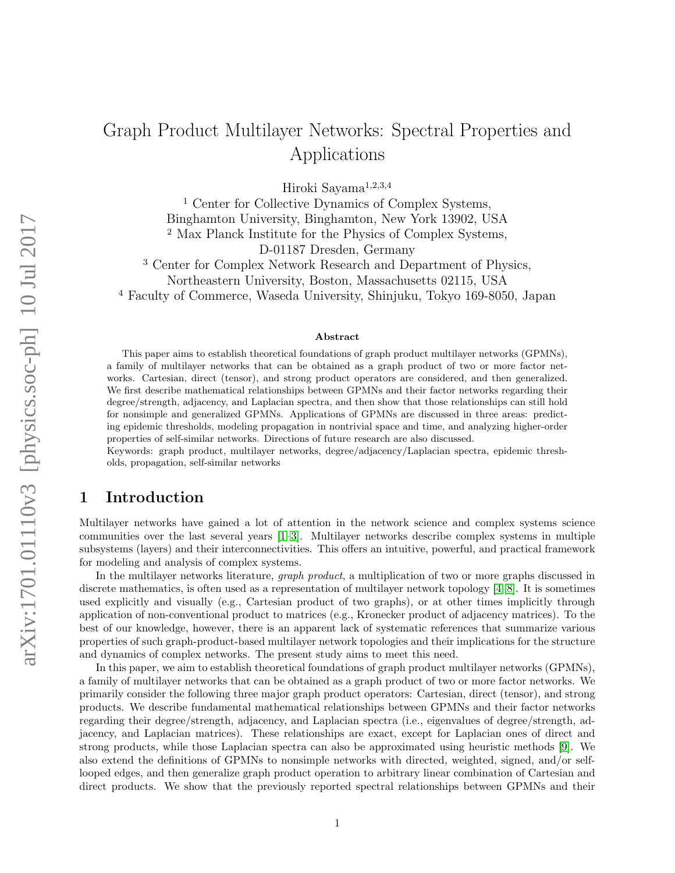# Graph Product Multilayer Networks: Spectral Properties and Applications

Hiroki Sayama<sup>1</sup>,2,3,<sup>4</sup>

<sup>1</sup> Center for Collective Dynamics of Complex Systems, Binghamton University, Binghamton, New York 13902, USA <sup>2</sup> Max Planck Institute for the Physics of Complex Systems, D-01187 Dresden, Germany

<sup>3</sup> Center for Complex Network Research and Department of Physics, Northeastern University, Boston, Massachusetts 02115, USA

<sup>4</sup> Faculty of Commerce, Waseda University, Shinjuku, Tokyo 169-8050, Japan

#### Abstract

This paper aims to establish theoretical foundations of graph product multilayer networks (GPMNs), a family of multilayer networks that can be obtained as a graph product of two or more factor networks. Cartesian, direct (tensor), and strong product operators are considered, and then generalized. We first describe mathematical relationships between GPMNs and their factor networks regarding their degree/strength, adjacency, and Laplacian spectra, and then show that those relationships can still hold for nonsimple and generalized GPMNs. Applications of GPMNs are discussed in three areas: predicting epidemic thresholds, modeling propagation in nontrivial space and time, and analyzing higher-order properties of self-similar networks. Directions of future research are also discussed.

Keywords: graph product, multilayer networks, degree/adjacency/Laplacian spectra, epidemic thresholds, propagation, self-similar networks

#### <span id="page-0-0"></span>1 Introduction

Multilayer networks have gained a lot of attention in the network science and complex systems science communities over the last several years [\[1](#page-16-0)[–3\]](#page-16-1). Multilayer networks describe complex systems in multiple subsystems (layers) and their interconnectivities. This offers an intuitive, powerful, and practical framework for modeling and analysis of complex systems.

In the multilayer networks literature, *graph product*, a multiplication of two or more graphs discussed in discrete mathematics, is often used as a representation of multilayer network topology [\[4–](#page-16-2)[8\]](#page-16-3). It is sometimes used explicitly and visually (e.g., Cartesian product of two graphs), or at other times implicitly through application of non-conventional product to matrices (e.g., Kronecker product of adjacency matrices). To the best of our knowledge, however, there is an apparent lack of systematic references that summarize various properties of such graph-product-based multilayer network topologies and their implications for the structure and dynamics of complex networks. The present study aims to meet this need.

In this paper, we aim to establish theoretical foundations of graph product multilayer networks (GPMNs), a family of multilayer networks that can be obtained as a graph product of two or more factor networks. We primarily consider the following three major graph product operators: Cartesian, direct (tensor), and strong products. We describe fundamental mathematical relationships between GPMNs and their factor networks regarding their degree/strength, adjacency, and Laplacian spectra (i.e., eigenvalues of degree/strength, adjacency, and Laplacian matrices). These relationships are exact, except for Laplacian ones of direct and strong products, while those Laplacian spectra can also be approximated using heuristic methods [\[9\]](#page-16-4). We also extend the definitions of GPMNs to nonsimple networks with directed, weighted, signed, and/or selflooped edges, and then generalize graph product operation to arbitrary linear combination of Cartesian and direct products. We show that the previously reported spectral relationships between GPMNs and their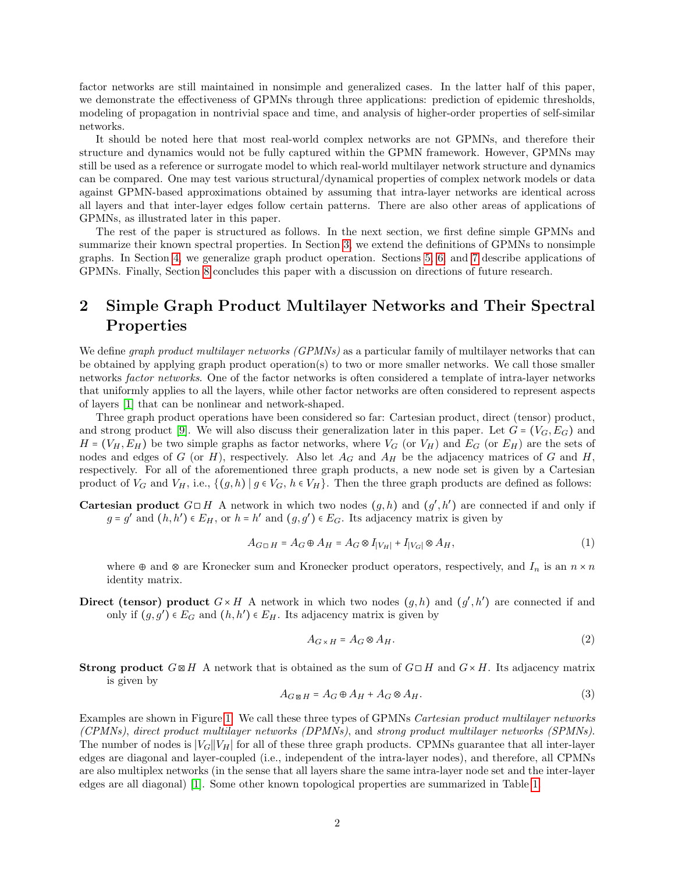factor networks are still maintained in nonsimple and generalized cases. In the latter half of this paper, we demonstrate the effectiveness of GPMNs through three applications: prediction of epidemic thresholds, modeling of propagation in nontrivial space and time, and analysis of higher-order properties of self-similar networks.

It should be noted here that most real-world complex networks are not GPMNs, and therefore their structure and dynamics would not be fully captured within the GPMN framework. However, GPMNs may still be used as a reference or surrogate model to which real-world multilayer network structure and dynamics can be compared. One may test various structural/dynamical properties of complex network models or data against GPMN-based approximations obtained by assuming that intra-layer networks are identical across all layers and that inter-layer edges follow certain patterns. There are also other areas of applications of GPMNs, as illustrated later in this paper.

The rest of the paper is structured as follows. In the next section, we first define simple GPMNs and summarize their known spectral properties. In Section [3,](#page-4-0) we extend the definitions of GPMNs to nonsimple graphs. In Section [4,](#page-5-0) we generalize graph product operation. Sections [5,](#page-7-0) [6,](#page-9-0) and [7](#page-11-0) describe applications of GPMNs. Finally, Section [8](#page-14-0) concludes this paper with a discussion on directions of future research.

# <span id="page-1-3"></span>2 Simple Graph Product Multilayer Networks and Their Spectral Properties

We define *graph product multilayer networks (GPMNs)* as a particular family of multilayer networks that can be obtained by applying graph product operation(s) to two or more smaller networks. We call those smaller networks factor networks. One of the factor networks is often considered a template of intra-layer networks that uniformly applies to all the layers, while other factor networks are often considered to represent aspects of layers [\[1\]](#page-16-0) that can be nonlinear and network-shaped.

Three graph product operations have been considered so far: Cartesian product, direct (tensor) product, and strong product [\[9\]](#page-16-4). We will also discuss their generalization later in this paper. Let  $G = (V_G, E_G)$  and  $H = (V_H, E_H)$  be two simple graphs as factor networks, where  $V_G$  (or  $V_H$ ) and  $E_G$  (or  $E_H$ ) are the sets of nodes and edges of G (or H), respectively. Also let  $A_G$  and  $A_H$  be the adjacency matrices of G and H, respectively. For all of the aforementioned three graph products, a new node set is given by a Cartesian product of  $V_G$  and  $V_H$ , i.e.,  $\{(g, h) | g \in V_G, h \in V_H\}$ . Then the three graph products are defined as follows:

**Cartesian product**  $G \square H$  A network in which two nodes  $(g,h)$  and  $(g',h')$  are connected if and only if  $g = g'$  and  $(h, h') \in E_H$ , or  $h = h'$  and  $(g, g') \in E_G$ . Its adjacency matrix is given by

<span id="page-1-0"></span>
$$
A_{G \square H} = A_G \oplus A_H = A_G \otimes I_{|V_H|} + I_{|V_G|} \otimes A_H,
$$
\n<sup>(1)</sup>

where ⊕ and ⊗ are Kronecker sum and Kronecker product operators, respectively, and  $I_n$  is an  $n \times n$ identity matrix.

Direct (tensor) product  $G \times H$  A network in which two nodes  $(g,h)$  and  $(g',h')$  are connected if and only if  $(g, g') \in E_G$  and  $(h, h') \in E_H$ . Its adjacency matrix is given by

<span id="page-1-1"></span>
$$
A_{G \times H} = A_G \otimes A_H. \tag{2}
$$

**Strong product**  $G \boxtimes H$  A network that is obtained as the sum of  $G \square H$  and  $G \times H$ . Its adjacency matrix is given by

<span id="page-1-2"></span>
$$
A_{G \boxtimes H} = A_G \oplus A_H + A_G \otimes A_H. \tag{3}
$$

Examples are shown in Figure [1.](#page-2-0) We call these three types of GPMNs Cartesian product multilayer networks (CPMNs), direct product multilayer networks (DPMNs), and strong product multilayer networks (SPMNs). The number of nodes is  $|V_G||V_H|$  for all of these three graph products. CPMNs guarantee that all inter-layer edges are diagonal and layer-coupled (i.e., independent of the intra-layer nodes), and therefore, all CPMNs are also multiplex networks (in the sense that all layers share the same intra-layer node set and the inter-layer edges are all diagonal) [\[1\]](#page-16-0). Some other known topological properties are summarized in Table [1.](#page-3-0)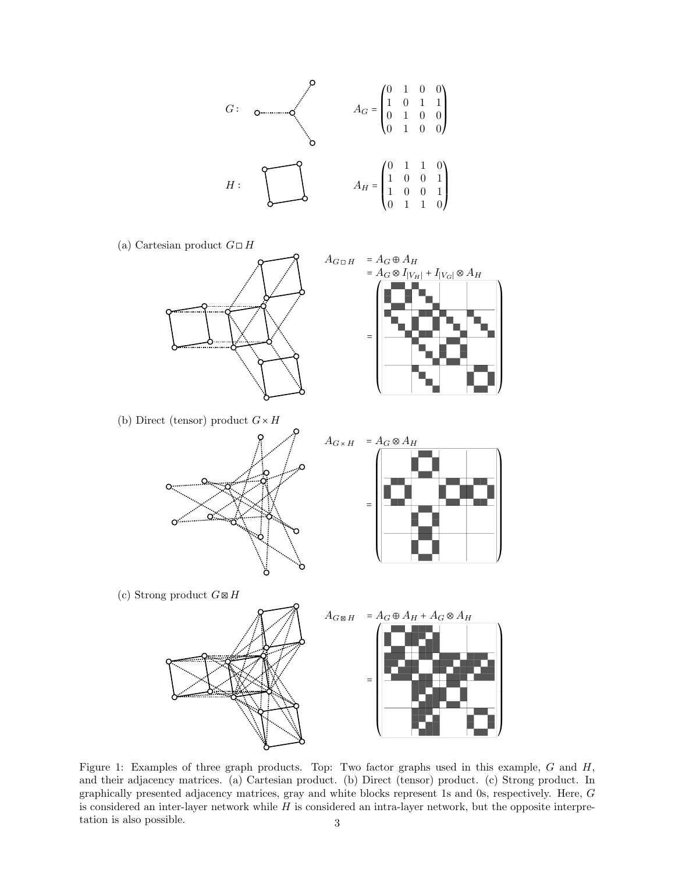

(a) Cartesian product  $G \square H$  $A_{G \Box H}$  =  $A_G \oplus A_H$  $= A_G \otimes I_{|V_H|} + I_{|V_G|} \otimes A_H$ =  $\overline{I}$ ⎜ ⎜ ⎜ ⎜  $\mathsf I$  $\mathsf I$  $\mathsf I$  $\mathsf I$  $\mathsf I$  $\mathsf I$  $\mathsf I$  $\mathsf I$  $\mathbf l$ ⎜ ⎝ ⎞ ⎟ ⎟ ⎟ ⎟ ⎟ ⎟ ⎟ ⎟ ⎟ ⎟ ⎟ ⎟ ⎟ ⎟ ⎠ (b) Direct (tensor) product  $G \times H$ 



⎞ ⎟ ⎟ ⎟ ⎟ ⎟ ⎟ ⎟ ⎟ ⎟ ⎟ ⎟ ⎟ ⎟ ⎟ ⎠

(c) Strong product  $G \boxtimes H$ 



<span id="page-2-0"></span>Figure 1: Examples of three graph products. Top: Two factor graphs used in this example,  $G$  and  $H$ , and their adjacency matrices. (a) Cartesian product. (b) Direct (tensor) product. (c) Strong product. In graphically presented adjacency matrices, gray and white blocks represent 1s and 0s, respectively. Here, G is considered an inter-layer network while  $H$  is considered an intra-layer network, but the opposite interpretation is also possible. 3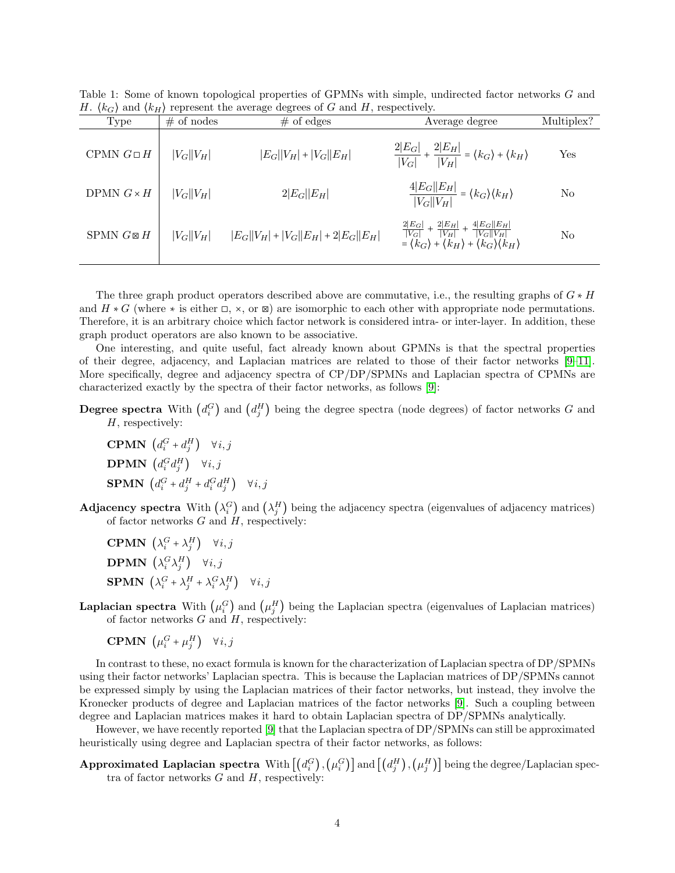<span id="page-3-0"></span>

|  |  | Table 1: Some of known topological properties of GPMNs with simple, undirected factor networks G and       |  |  |  |  |  |
|--|--|------------------------------------------------------------------------------------------------------------|--|--|--|--|--|
|  |  | H. $\langle k_G \rangle$ and $\langle k_H \rangle$ represent the average degrees of G and H, respectively. |  |  |  |  |  |

| $\sim$ $\prime$<br>Type | ---<br>$\#$ of nodes | $#$ of edges                            | Average degree                                                                                                                                                                                                                                   | Multiplex?     |
|-------------------------|----------------------|-----------------------------------------|--------------------------------------------------------------------------------------------------------------------------------------------------------------------------------------------------------------------------------------------------|----------------|
| CPMN $G \square H$      | $ V_G  V_H $         | $ E_G  V_H  +  V_G  E_H $               | $\frac{2 E_G }{ V_G } + \frac{2 E_H }{ V_H } = \langle k_G \rangle + \langle k_H \rangle$                                                                                                                                                        | Yes            |
| DPMN $G \times H$       | $ V_G  V_H $         | $2 E_G  E_H $                           | $\frac{4 E_G  E_H }{ V_G  V_H } = \langle k_G \rangle \langle k_H \rangle$                                                                                                                                                                       | N <sub>o</sub> |
| $SPMN G \boxtimes H$    | $ V_G  V_H $         | $ E_G  V_H  +  V_G  E_H  + 2 E_G  E_H $ | $\begin{array}{c} \frac{2 E_G }{ V_G } + \frac{2 E_H }{ V_H } + \frac{4 E_G  E_H }{ V_G  V_H } \\ = \left\langle k_G \right\rangle + \left\langle k_H \right\rangle + \left\langle k_G \right\rangle \left\langle k_H \right\rangle \end{array}$ | N <sub>o</sub> |

The three graph product operators described above are commutative, i.e., the resulting graphs of  $G * H$ and  $H * G$  (where  $*$  is either  $\Box$ ,  $*$ , or  $\boxtimes$ ) are isomorphic to each other with appropriate node permutations. Therefore, it is an arbitrary choice which factor network is considered intra- or inter-layer. In addition, these graph product operators are also known to be associative.

One interesting, and quite useful, fact already known about GPMNs is that the spectral properties of their degree, adjacency, and Laplacian matrices are related to those of their factor networks [\[9–](#page-16-4)[11\]](#page-16-5). More specifically, degree and adjacency spectra of CP/DP/SPMNs and Laplacian spectra of CPMNs are characterized exactly by the spectra of their factor networks, as follows [\[9\]](#page-16-4):

**Degree spectra** With  $(d_i^G)$  and  $(d_j^H)$  being the degree spectra (node degrees) of factor networks G and H, respectively:

 $\textbf{CPMN} \, \left( d^G_i + d^H_j \right) \quad \forall i,j$  $\textbf{DPMN} \, \left( d^G_i d^H_j \right) \quad \forall i,j$  $\mathbf{SPMN}\;\left( d_{i}^{G}+d_{j}^{H}+d_{i}^{G}d_{j}^{H}\right) \quad \forall i,j$ 

- **Adjacency spectra** With  $(\lambda_i^G)$  and  $(\lambda_j^H)$  being the adjacency spectra (eigenvalues of adjacency matrices) of factor networks  $G$  and  $H$ , respectively:
	- **CPMN**  $(\lambda_i^G + \lambda_j^H)$   $\forall i, j$  $\textbf{DPMN} \, \left( \lambda_i^G \lambda_j^H \right) \; \; \; \forall i,j$  $\textbf{SPMN}~~\left( \lambda_i^G + \lambda_j^H + \lambda_i^G \lambda_j^H \right)~~~\forall i,j$
- **Laplacian spectra** With  $(\mu_i^G)$  and  $(\mu_j^H)$  being the Laplacian spectra (eigenvalues of Laplacian matrices) of factor networks  $G$  and  $H$ , respectively:

 $\textbf{CPMN} \, \left( \mu_i^G + \mu_j^H \right) \quad \forall i,j$ 

In contrast to these, no exact formula is known for the characterization of Laplacian spectra of DP/SPMNs using their factor networks' Laplacian spectra. This is because the Laplacian matrices of DP/SPMNs cannot be expressed simply by using the Laplacian matrices of their factor networks, but instead, they involve the Kronecker products of degree and Laplacian matrices of the factor networks [\[9\]](#page-16-4). Such a coupling between degree and Laplacian matrices makes it hard to obtain Laplacian spectra of DP/SPMNs analytically.

However, we have recently reported [\[9\]](#page-16-4) that the Laplacian spectra of DP/SPMNs can still be approximated heuristically using degree and Laplacian spectra of their factor networks, as follows:

 ${\bf Approximated\; Laplacian\; spectra\;With} \left[\left(d_i^G\right),\left(\mu_i^G\right)\right] \text{and} \left[\left(d_j^H\right),\left(\mu_j^H\right)\right]$  being the degree/Laplacian spectra of factor networks  $G$  and  $H$ , respectively: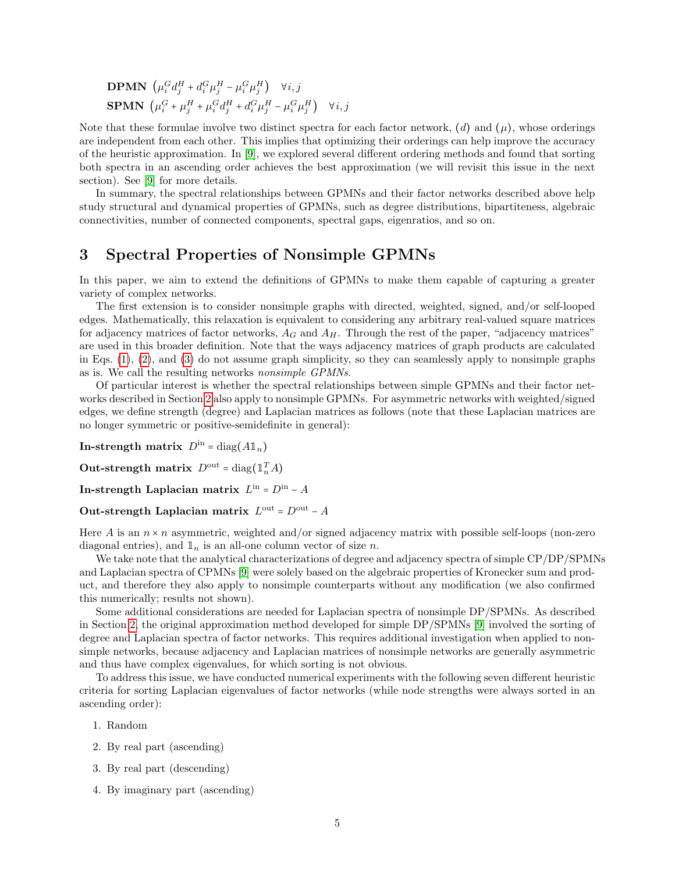$\textbf{DPMN} \; \left( \mu^G_i d^H_j + d^G_i \mu^H_j - \mu^G_i \mu^H_j \right) \quad \forall i,j$  $\textbf{SPMN} \; \left( \mu^G_i + \mu^H_j + \mu^G_i d^H_j + d^G_i \mu^H_j - \mu^G_i \mu^H_j \right) \quad \forall i,j$ 

Note that these formulae involve two distinct spectra for each factor network, (d) and ( $\mu$ ), whose orderings are independent from each other. This implies that optimizing their orderings can help improve the accuracy of the heuristic approximation. In [\[9\]](#page-16-4), we explored several different ordering methods and found that sorting both spectra in an ascending order achieves the best approximation (we will revisit this issue in the next section). See [\[9\]](#page-16-4) for more details.

In summary, the spectral relationships between GPMNs and their factor networks described above help study structural and dynamical properties of GPMNs, such as degree distributions, bipartiteness, algebraic connectivities, number of connected components, spectral gaps, eigenratios, and so on.

#### <span id="page-4-0"></span>3 Spectral Properties of Nonsimple GPMNs

In this paper, we aim to extend the definitions of GPMNs to make them capable of capturing a greater variety of complex networks.

The first extension is to consider nonsimple graphs with directed, weighted, signed, and/or self-looped edges. Mathematically, this relaxation is equivalent to considering any arbitrary real-valued square matrices for adjacency matrices of factor networks,  $A_G$  and  $A_H$ . Through the rest of the paper, "adjacency matrices" are used in this broader definition. Note that the ways adjacency matrices of graph products are calculated in Eqs.  $(1)$ ,  $(2)$ , and  $(3)$  do not assume graph simplicity, so they can seamlessly apply to nonsimple graphs as is. We call the resulting networks nonsimple GPMNs.

Of particular interest is whether the spectral relationships between simple GPMNs and their factor networks described in Section [2](#page-1-3) also apply to nonsimple GPMNs. For asymmetric networks with weighted/signed edges, we define strength (degree) and Laplacian matrices as follows (note that these Laplacian matrices are no longer symmetric or positive-semidefinite in general):

In-strength matrix  $D^{in} = diag(A\mathbb{1}_n)$ 

Out-strength matrix  $D^{\text{out}} = \text{diag}(\mathbb{1}_n^T A)$ 

In-strength Laplacian matrix  $L^{\text{in}}$  =  $D^{\text{in}}$  –  $A$ 

#### Out-strength Laplacian matrix  $L^{\text{out}}$  =  $D^{\text{out}}$  – A

Here A is an  $n \times n$  asymmetric, weighted and/or signed adjacency matrix with possible self-loops (non-zero diagonal entries), and  $\mathbb{1}_n$  is an all-one column vector of size n.

We take note that the analytical characterizations of degree and adjacency spectra of simple CP/DP/SPMNs and Laplacian spectra of CPMNs [\[9\]](#page-16-4) were solely based on the algebraic properties of Kronecker sum and product, and therefore they also apply to nonsimple counterparts without any modification (we also confirmed this numerically; results not shown).

Some additional considerations are needed for Laplacian spectra of nonsimple DP/SPMNs. As described in Section [2,](#page-1-3) the original approximation method developed for simple DP/SPMNs [\[9\]](#page-16-4) involved the sorting of degree and Laplacian spectra of factor networks. This requires additional investigation when applied to nonsimple networks, because adjacency and Laplacian matrices of nonsimple networks are generally asymmetric and thus have complex eigenvalues, for which sorting is not obvious.

To address this issue, we have conducted numerical experiments with the following seven different heuristic criteria for sorting Laplacian eigenvalues of factor networks (while node strengths were always sorted in an ascending order):

- 1. Random
- 2. By real part (ascending)
- 3. By real part (descending)
- 4. By imaginary part (ascending)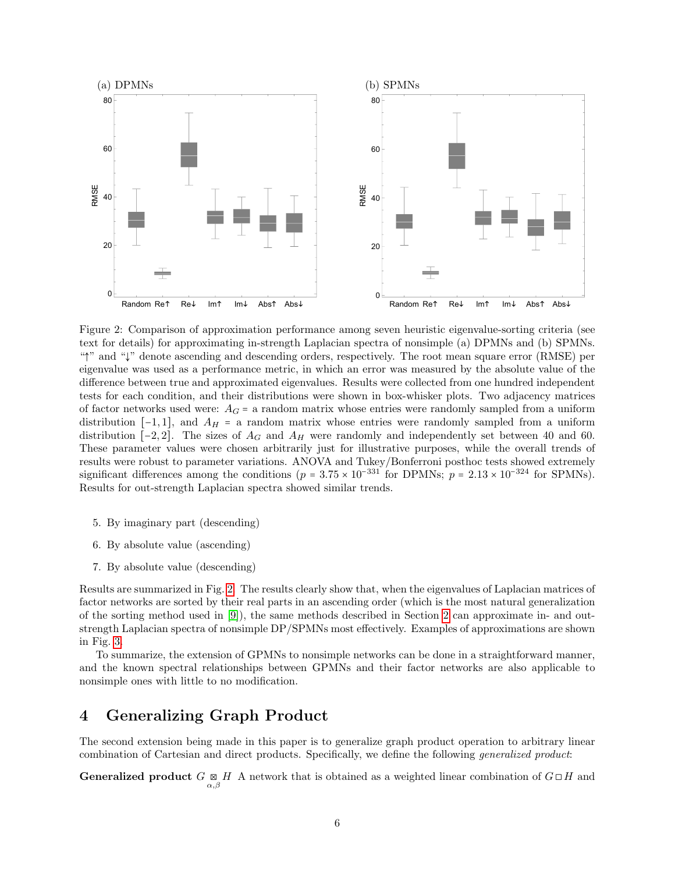

<span id="page-5-1"></span>Figure 2: Comparison of approximation performance among seven heuristic eigenvalue-sorting criteria (see text for details) for approximating in-strength Laplacian spectra of nonsimple (a) DPMNs and (b) SPMNs. "↑" and "↓" denote ascending and descending orders, respectively. The root mean square error (RMSE) per eigenvalue was used as a performance metric, in which an error was measured by the absolute value of the difference between true and approximated eigenvalues. Results were collected from one hundred independent tests for each condition, and their distributions were shown in box-whisker plots. Two adjacency matrices of factor networks used were:  $A_G$  = a random matrix whose entries were randomly sampled from a uniform distribution  $[-1, 1]$ , and  $A_H$  = a random matrix whose entries were randomly sampled from a uniform distribution [−2, 2]. The sizes of  $A_G$  and  $A_H$  were randomly and independently set between 40 and 60. These parameter values were chosen arbitrarily just for illustrative purposes, while the overall trends of results were robust to parameter variations. ANOVA and Tukey/Bonferroni posthoc tests showed extremely significant differences among the conditions (p =  $3.75 \times 10^{-331}$  for DPMNs; p =  $2.13 \times 10^{-324}$  for SPMNs). Results for out-strength Laplacian spectra showed similar trends.

- 5. By imaginary part (descending)
- 6. By absolute value (ascending)
- 7. By absolute value (descending)

Results are summarized in Fig. [2.](#page-5-1) The results clearly show that, when the eigenvalues of Laplacian matrices of factor networks are sorted by their real parts in an ascending order (which is the most natural generalization of the sorting method used in [\[9\]](#page-16-4)), the same methods described in Section [2](#page-1-3) can approximate in- and outstrength Laplacian spectra of nonsimple DP/SPMNs most effectively. Examples of approximations are shown in Fig. [3.](#page-6-0)

To summarize, the extension of GPMNs to nonsimple networks can be done in a straightforward manner, and the known spectral relationships between GPMNs and their factor networks are also applicable to nonsimple ones with little to no modification.

#### <span id="page-5-0"></span>4 Generalizing Graph Product

The second extension being made in this paper is to generalize graph product operation to arbitrary linear combination of Cartesian and direct products. Specifically, we define the following generalized product:

**Generalized product**  $G \underset{\alpha,\beta}{\boxtimes} H$  A network that is obtained as a weighted linear combination of  $G \square H$  and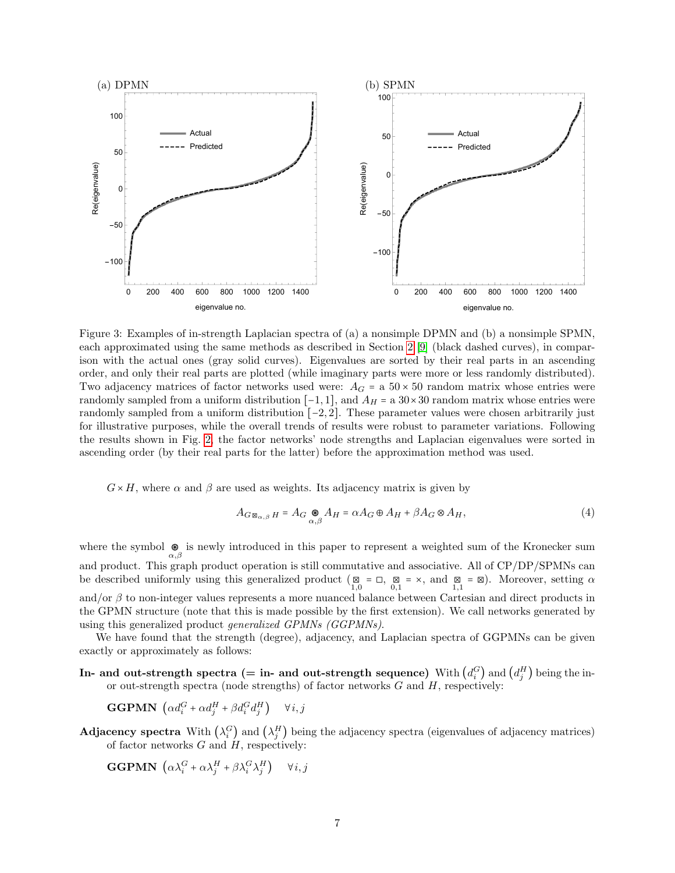

<span id="page-6-0"></span>Figure 3: Examples of in-strength Laplacian spectra of (a) a nonsimple DPMN and (b) a nonsimple SPMN, each approximated using the same methods as described in Section [2](#page-1-3) [\[9\]](#page-16-4) (black dashed curves), in comparison with the actual ones (gray solid curves). Eigenvalues are sorted by their real parts in an ascending order, and only their real parts are plotted (while imaginary parts were more or less randomly distributed). Two adjacency matrices of factor networks used were:  $A_G = a \cdot 50 \times 50$  random matrix whose entries were randomly sampled from a uniform distribution  $[-1, 1]$ , and  $A_H = a 30 \times 30$  random matrix whose entries were randomly sampled from a uniform distribution  $[-2, 2]$ . These parameter values were chosen arbitrarily just for illustrative purposes, while the overall trends of results were robust to parameter variations. Following the results shown in Fig. [2,](#page-5-1) the factor networks' node strengths and Laplacian eigenvalues were sorted in ascending order (by their real parts for the latter) before the approximation method was used.

 $G \times H$ , where  $\alpha$  and  $\beta$  are used as weights. Its adjacency matrix is given by

$$
A_{G\boxtimes_{\alpha,\beta}H} = A_G \underset{\alpha,\beta}{\otimes} A_H = \alpha A_G \oplus A_H + \beta A_G \otimes A_H, \tag{4}
$$

where the symbol  $\bigotimes_{\alpha,\beta}$  is newly introduced in this paper to represent a weighted sum of the Kronecker sum and product. This graph product operation is still commutative and associative. All of CP/DP/SPMNs can be described uniformly using this generalized product  $(\mathbb{Z} = \square, \mathbb{Z} = \square, \mathbb{Z} = \times, \text{ and } \mathbb{Z} = \mathbb{Z})$ . Moreover, setting  $\alpha$ and/or  $\beta$  to non-integer values represents a more nuanced balance between Cartesian and direct products in the GPMN structure (note that this is made possible by the first extension). We call networks generated by using this generalized product generalized GPMNs (GGPMNs).

We have found that the strength (degree), adjacency, and Laplacian spectra of GGPMNs can be given exactly or approximately as follows:

In- and out-strength spectra (= in- and out-strength sequence) With  $\left(d_i^G\right)$  and  $\left(d_j^H\right)$  being the inor out-strength spectra (node strengths) of factor networks  $G$  and  $H$ , respectively:

**GGPMN** 
$$
\left(\alpha d_i^G + \alpha d_j^H + \beta d_i^G d_j^H\right) \quad \forall i, j
$$

**Adjacency spectra** With  $(\lambda_i^G)$  and  $(\lambda_j^H)$  being the adjacency spectra (eigenvalues of adjacency matrices) of factor networks  $G$  and  $H$ , respectively:

**GGPMN** 
$$
\left(\alpha \lambda_i^G + \alpha \lambda_j^H + \beta \lambda_i^G \lambda_j^H\right)
$$
  $\forall i, j$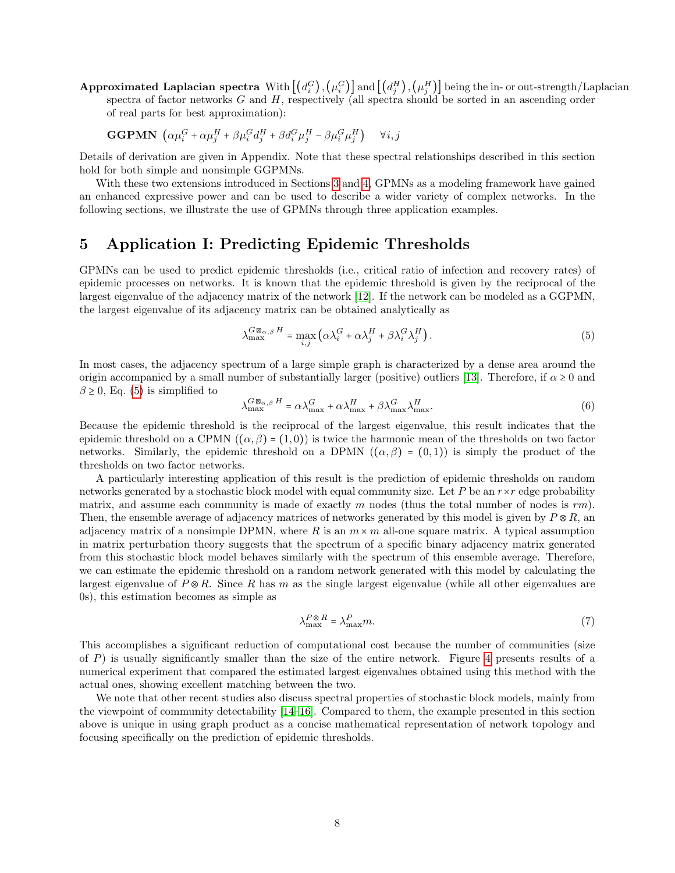${\bf Approximated\; Laplacian\; spectra\;With} \left[\left(d_i^G\right),\left(\mu_i^G\right)\right]$  and  $\left[\left(d_j^H\right),\left(\mu_j^H\right)\right]$  being the in- or out-strength/Laplacian spectra of factor networks G and H, respectively (all spectra should be sorted in an ascending order of real parts for best approximation):

**GGPMN** 
$$
\left(\alpha \mu_i^G + \alpha \mu_j^H + \beta \mu_i^G d_j^H + \beta d_i^G \mu_j^H - \beta \mu_i^G \mu_j^H\right)
$$
  $\forall i, j$ 

Details of derivation are given in Appendix. Note that these spectral relationships described in this section hold for both simple and nonsimple GGPMNs.

With these two extensions introduced in Sections [3](#page-4-0) and [4,](#page-5-0) GPMNs as a modeling framework have gained an enhanced expressive power and can be used to describe a wider variety of complex networks. In the following sections, we illustrate the use of GPMNs through three application examples.

# <span id="page-7-0"></span>5 Application I: Predicting Epidemic Thresholds

GPMNs can be used to predict epidemic thresholds (i.e., critical ratio of infection and recovery rates) of epidemic processes on networks. It is known that the epidemic threshold is given by the reciprocal of the largest eigenvalue of the adjacency matrix of the network [\[12\]](#page-16-6). If the network can be modeled as a GGPMN, the largest eigenvalue of its adjacency matrix can be obtained analytically as

<span id="page-7-1"></span>
$$
\lambda_{\max}^{G \boxtimes_{\alpha,\beta} H} = \max_{i,j} \left( \alpha \lambda_i^G + \alpha \lambda_j^H + \beta \lambda_i^G \lambda_j^H \right). \tag{5}
$$

In most cases, the adjacency spectrum of a large simple graph is characterized by a dense area around the origin accompanied by a small number of substantially larger (positive) outliers [\[13\]](#page-16-7). Therefore, if  $\alpha \ge 0$  and  $\beta \geq 0$ , Eq. [\(5\)](#page-7-1) is simplified to

<span id="page-7-3"></span>
$$
\lambda_{\max}^{G \boxtimes_{\alpha,\beta} H} = \alpha \lambda_{\max}^{G} + \alpha \lambda_{\max}^{H} + \beta \lambda_{\max}^{G} \lambda_{\max}^{H}.
$$
\n(6)

Because the epidemic threshold is the reciprocal of the largest eigenvalue, this result indicates that the epidemic threshold on a CPMN  $((\alpha, \beta) = (1, 0))$  is twice the harmonic mean of the thresholds on two factor networks. Similarly, the epidemic threshold on a DPMN  $((\alpha, \beta) = (0, 1))$  is simply the product of the thresholds on two factor networks.

A particularly interesting application of this result is the prediction of epidemic thresholds on random networks generated by a stochastic block model with equal community size. Let  $P$  be an  $r \times r$  edge probability matrix, and assume each community is made of exactly m nodes (thus the total number of nodes is  $rm$ ). Then, the ensemble average of adjacency matrices of networks generated by this model is given by  $P \otimes R$ , and adjacency matrix of a nonsimple DPMN, where R is an  $m \times m$  all-one square matrix. A typical assumption in matrix perturbation theory suggests that the spectrum of a specific binary adjacency matrix generated from this stochastic block model behaves similarly with the spectrum of this ensemble average. Therefore, we can estimate the epidemic threshold on a random network generated with this model by calculating the largest eigenvalue of  $P \otimes R$ . Since R has m as the single largest eigenvalue (while all other eigenvalues are 0s), this estimation becomes as simple as

<span id="page-7-2"></span>
$$
\lambda_{\text{max}}^{P \otimes R} = \lambda_{\text{max}}^{P} m. \tag{7}
$$

This accomplishes a significant reduction of computational cost because the number of communities (size of P) is usually significantly smaller than the size of the entire network. Figure [4](#page-8-0) presents results of a numerical experiment that compared the estimated largest eigenvalues obtained using this method with the actual ones, showing excellent matching between the two.

We note that other recent studies also discuss spectral properties of stochastic block models, mainly from the viewpoint of community detectability [\[14–](#page-16-8)[16\]](#page-16-9). Compared to them, the example presented in this section above is unique in using graph product as a concise mathematical representation of network topology and focusing specifically on the prediction of epidemic thresholds.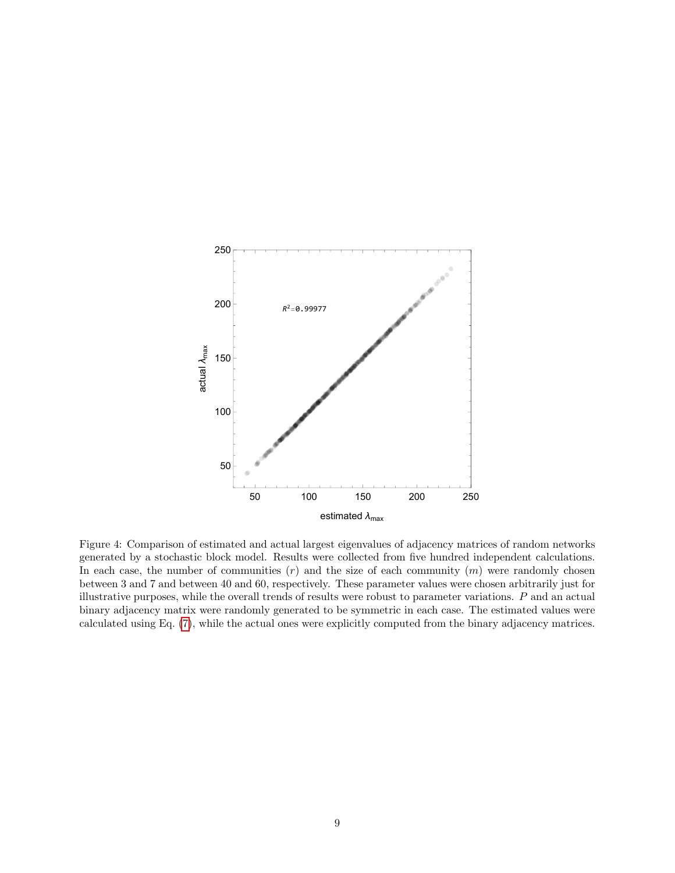

<span id="page-8-0"></span>Figure 4: Comparison of estimated and actual largest eigenvalues of adjacency matrices of random networks generated by a stochastic block model. Results were collected from five hundred independent calculations. In each case, the number of communities  $(r)$  and the size of each community  $(m)$  were randomly chosen between 3 and 7 and between 40 and 60, respectively. These parameter values were chosen arbitrarily just for illustrative purposes, while the overall trends of results were robust to parameter variations. P and an actual binary adjacency matrix were randomly generated to be symmetric in each case. The estimated values were calculated using Eq. [\(7\)](#page-7-2), while the actual ones were explicitly computed from the binary adjacency matrices.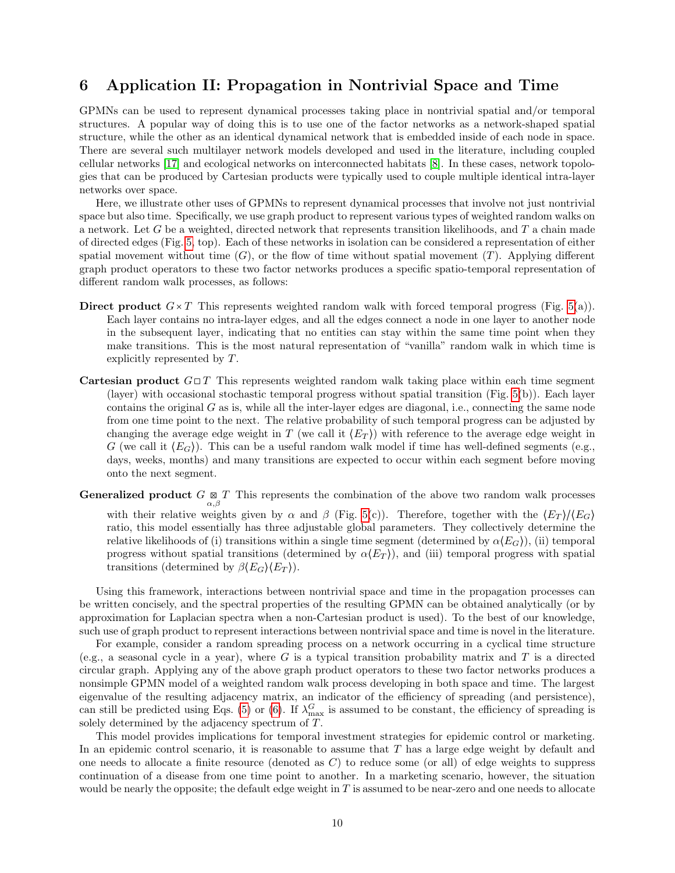#### <span id="page-9-0"></span>6 Application II: Propagation in Nontrivial Space and Time

GPMNs can be used to represent dynamical processes taking place in nontrivial spatial and/or temporal structures. A popular way of doing this is to use one of the factor networks as a network-shaped spatial structure, while the other as an identical dynamical network that is embedded inside of each node in space. There are several such multilayer network models developed and used in the literature, including coupled cellular networks [\[17\]](#page-16-10) and ecological networks on interconnected habitats [\[8\]](#page-16-3). In these cases, network topologies that can be produced by Cartesian products were typically used to couple multiple identical intra-layer networks over space.

Here, we illustrate other uses of GPMNs to represent dynamical processes that involve not just nontrivial space but also time. Specifically, we use graph product to represent various types of weighted random walks on a network. Let G be a weighted, directed network that represents transition likelihoods, and T a chain made of directed edges (Fig. [5,](#page-10-0) top). Each of these networks in isolation can be considered a representation of either spatial movement without time  $(G)$ , or the flow of time without spatial movement  $(T)$ . Applying different graph product operators to these two factor networks produces a specific spatio-temporal representation of different random walk processes, as follows:

- Direct product  $G \times T$  This represents weighted random walk with forced temporal progress (Fig. [5\(](#page-10-0)a)). Each layer contains no intra-layer edges, and all the edges connect a node in one layer to another node in the subsequent layer, indicating that no entities can stay within the same time point when they make transitions. This is the most natural representation of "vanilla" random walk in which time is explicitly represented by T.
- **Cartesian product**  $G \square T$  This represents weighted random walk taking place within each time segment (layer) with occasional stochastic temporal progress without spatial transition (Fig. [5\(](#page-10-0)b)). Each layer contains the original  $G$  as is, while all the inter-layer edges are diagonal, i.e., connecting the same node from one time point to the next. The relative probability of such temporal progress can be adjusted by changing the average edge weight in T (we call it  $\langle E_T \rangle$ ) with reference to the average edge weight in G (we call it  $\langle E_G \rangle$ ). This can be a useful random walk model if time has well-defined segments (e.g., days, weeks, months) and many transitions are expected to occur within each segment before moving onto the next segment.
- **Generalized product**  $G \underset{\alpha,\beta}{\otimes} T$  This represents the combination of the above two random walk processes

with their relative weights given by  $\alpha$  and  $\beta$  (Fig. [5\(](#page-10-0)c)). Therefore, together with the  $\langle E_T \rangle / \langle E_G \rangle$ ratio, this model essentially has three adjustable global parameters. They collectively determine the relative likelihoods of (i) transitions within a single time segment (determined by  $\alpha(E_G)$ ), (ii) temporal progress without spatial transitions (determined by  $\alpha(E_T)$ ), and (iii) temporal progress with spatial transitions (determined by  $\beta \langle E_G \rangle \langle E_T \rangle$ ).

Using this framework, interactions between nontrivial space and time in the propagation processes can be written concisely, and the spectral properties of the resulting GPMN can be obtained analytically (or by approximation for Laplacian spectra when a non-Cartesian product is used). To the best of our knowledge, such use of graph product to represent interactions between nontrivial space and time is novel in the literature.

For example, consider a random spreading process on a network occurring in a cyclical time structure (e.g., a seasonal cycle in a year), where G is a typical transition probability matrix and T is a directed circular graph. Applying any of the above graph product operators to these two factor networks produces a nonsimple GPMN model of a weighted random walk process developing in both space and time. The largest eigenvalue of the resulting adjacency matrix, an indicator of the efficiency of spreading (and persistence), can still be predicted using Eqs. [\(5\)](#page-7-1) or [\(6\)](#page-7-3). If  $\lambda_{\text{max}}^G$  is assumed to be constant, the efficiency of spreading is solely determined by the adjacency spectrum of T.

This model provides implications for temporal investment strategies for epidemic control or marketing. In an epidemic control scenario, it is reasonable to assume that T has a large edge weight by default and one needs to allocate a finite resource (denoted as  $C$ ) to reduce some (or all) of edge weights to suppress continuation of a disease from one time point to another. In a marketing scenario, however, the situation would be nearly the opposite; the default edge weight in  $T$  is assumed to be near-zero and one needs to allocate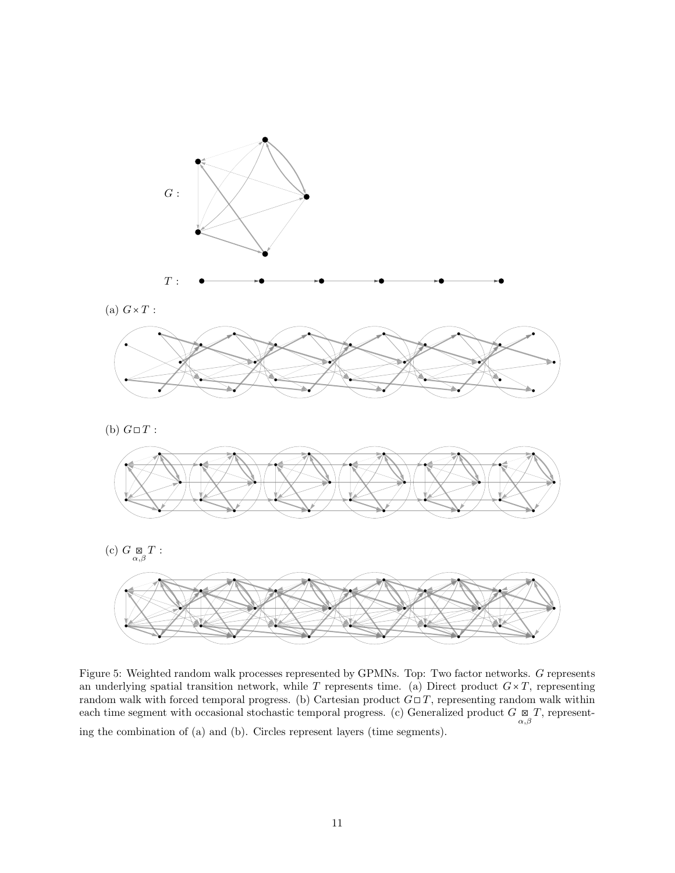

(a)  $G \times T$ :



(b)  $G \square T$ :



(c)  $G \underset{\alpha,\beta}{\boxtimes} T$ :



<span id="page-10-0"></span>Figure 5: Weighted random walk processes represented by GPMNs. Top: Two factor networks. G represents an underlying spatial transition network, while T represents time. (a) Direct product  $G \times T$ , representing random walk with forced temporal progress. (b) Cartesian product  $G \square T$ , representing random walk within each time segment with occasional stochastic temporal progress. (c) Generalized product  $G \underset{\alpha,\beta}{\boxtimes} T$ , representing the combination of (a) and (b). Circles represent layers (time segments).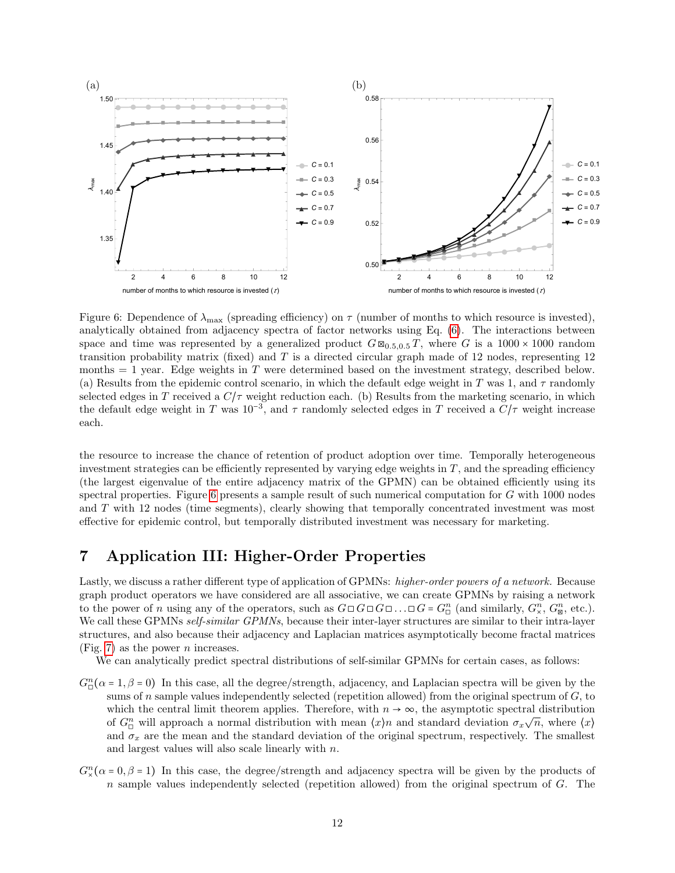

<span id="page-11-1"></span>Figure 6: Dependence of  $\lambda_{\text{max}}$  (spreading efficiency) on  $\tau$  (number of months to which resource is invested), analytically obtained from adjacency spectra of factor networks using Eq. [\(6\)](#page-7-3). The interactions between space and time was represented by a generalized product  $G \boxtimes_{0.5,0.5} T$ , where G is a 1000 × 1000 random transition probability matrix (fixed) and T is a directed circular graph made of 12 nodes, representing 12 months  $= 1$  year. Edge weights in T were determined based on the investment strategy, described below. (a) Results from the epidemic control scenario, in which the default edge weight in T was 1, and  $\tau$  randomly selected edges in T received a  $C/\tau$  weight reduction each. (b) Results from the marketing scenario, in which the default edge weight in T was  $10^{-3}$ , and  $\tau$  randomly selected edges in T received a  $C/\tau$  weight increase each.

the resource to increase the chance of retention of product adoption over time. Temporally heterogeneous investment strategies can be efficiently represented by varying edge weights in  $T$ , and the spreading efficiency (the largest eigenvalue of the entire adjacency matrix of the GPMN) can be obtained efficiently using its spectral properties. Figure [6](#page-11-1) presents a sample result of such numerical computation for G with 1000 nodes and T with 12 nodes (time segments), clearly showing that temporally concentrated investment was most effective for epidemic control, but temporally distributed investment was necessary for marketing.

### <span id="page-11-0"></span>7 Application III: Higher-Order Properties

Lastly, we discuss a rather different type of application of GPMNs: higher-order powers of a network. Because graph product operators we have considered are all associative, we can create GPMNs by raising a network to the power of n using any of the operators, such as  $G \square G \square G \square \ldots \square G = G_{\square}^{n}$  (and similarly,  $G_{\times}^{n}$ ,  $G_{\mathbb{B}}^{n}$ , etc.). We call these GPMNs self-similar GPMNs, because their inter-layer structures are similar to their intra-layer structures, and also because their adjacency and Laplacian matrices asymptotically become fractal matrices (Fig. [7\)](#page-12-0) as the power *n* increases.

We can analytically predict spectral distributions of self-similar GPMNs for certain cases, as follows:

- $G_{\Box}^{n}(\alpha=1,\beta=0)$  In this case, all the degree/strength, adjacency, and Laplacian spectra will be given by the sums of n sample values independently selected (repetition allowed) from the original spectrum of  $G$ , to which the central limit theorem applies. Therefore, with  $n \to \infty$ , the asymptotic spectral distribution of  $G_{\Box}^n$  will approach a normal distribution with mean  $\langle x \rangle$  and standard deviation  $\sigma_x \sqrt{n}$ , where  $\langle x \rangle$ and  $\sigma_x$  are the mean and the standard deviation of the original spectrum, respectively. The smallest and largest values will also scale linearly with n.
- $G_{\rm x}^n$  ( $\alpha$  = 0,  $\beta$  = 1) In this case, the degree/strength and adjacency spectra will be given by the products of n sample values independently selected (repetition allowed) from the original spectrum of G. The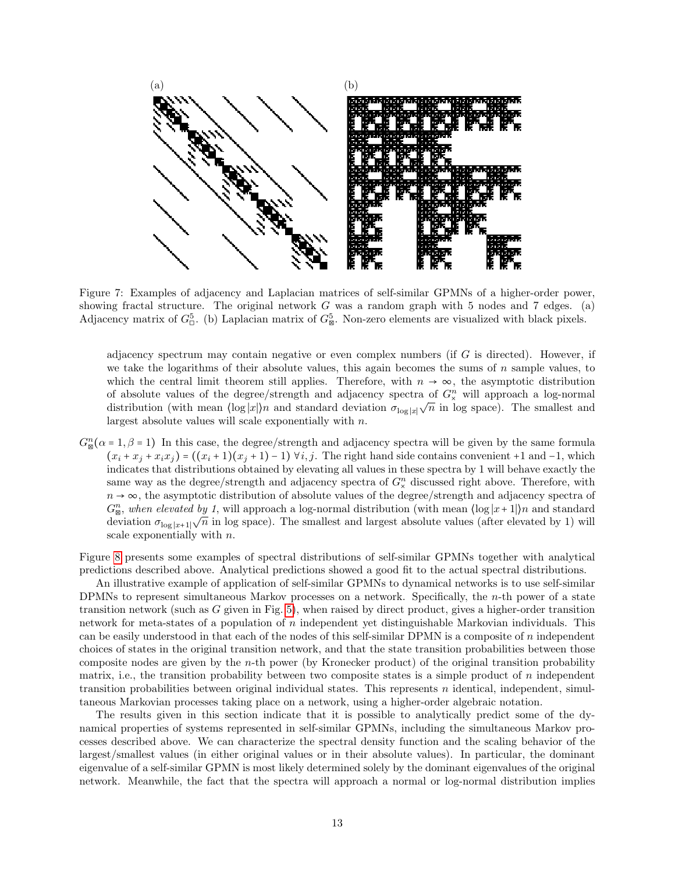

<span id="page-12-0"></span>Figure 7: Examples of adjacency and Laplacian matrices of self-similar GPMNs of a higher-order power, showing fractal structure. The original network G was a random graph with 5 nodes and 7 edges. (a) Adjacency matrix of  $G_{\Box}^5$ . (b) Laplacian matrix of  $G_{\boxtimes}^5$ . Non-zero elements are visualized with black pixels.

adjacency spectrum may contain negative or even complex numbers (if  $G$  is directed). However, if we take the logarithms of their absolute values, this again becomes the sums of  $n$  sample values, to which the central limit theorem still applies. Therefore, with  $n \to \infty$ , the asymptotic distribution of absolute values of the degree/strength and adjacency spectra of  $G_{\mathbf{x}}^n$  will approach a log-normal distribution (with mean  $\langle \log |x| \rangle n$  and standard deviation  $\sigma_{\log |x|} \sqrt{n}$  in log space). The smallest and largest absolute values will scale exponentially with n.

 $G_{\mathbb{Q}}^n(\alpha=1,\beta=1)$  In this case, the degree/strength and adjacency spectra will be given by the same formula  $(x_i + x_j + x_ix_j) = ((x_i + 1)(x_j + 1) - 1) \forall i, j$ . The right hand side contains convenient +1 and -1, which indicates that distributions obtained by elevating all values in these spectra by 1 will behave exactly the same way as the degree/strength and adjacency spectra of  $G_{\times}^{n}$  discussed right above. Therefore, with  $n \to \infty$ , the asymptotic distribution of absolute values of the degree/strength and adjacency spectra of  $G_n^n$ , when elevated by 1, will approach a log-normal distribution (with mean  $\langle \log |x+1| \rangle n$  and standard deviation  $\sigma_{\log|x+1|}\sqrt{n}$  in log space). The smallest and largest absolute values (after elevated by 1) will scale exponentially with n.

Figure [8](#page-13-0) presents some examples of spectral distributions of self-similar GPMNs together with analytical predictions described above. Analytical predictions showed a good fit to the actual spectral distributions.

An illustrative example of application of self-similar GPMNs to dynamical networks is to use self-similar DPMNs to represent simultaneous Markov processes on a network. Specifically, the *n*-th power of a state transition network (such as G given in Fig. [5\)](#page-10-0), when raised by direct product, gives a higher-order transition network for meta-states of a population of n independent yet distinguishable Markovian individuals. This can be easily understood in that each of the nodes of this self-similar DPMN is a composite of  $n$  independent choices of states in the original transition network, and that the state transition probabilities between those composite nodes are given by the *n*-th power (by Kronecker product) of the original transition probability matrix, i.e., the transition probability between two composite states is a simple product of  $n$  independent transition probabilities between original individual states. This represents n identical, independent, simultaneous Markovian processes taking place on a network, using a higher-order algebraic notation.

The results given in this section indicate that it is possible to analytically predict some of the dynamical properties of systems represented in self-similar GPMNs, including the simultaneous Markov processes described above. We can characterize the spectral density function and the scaling behavior of the largest/smallest values (in either original values or in their absolute values). In particular, the dominant eigenvalue of a self-similar GPMN is most likely determined solely by the dominant eigenvalues of the original network. Meanwhile, the fact that the spectra will approach a normal or log-normal distribution implies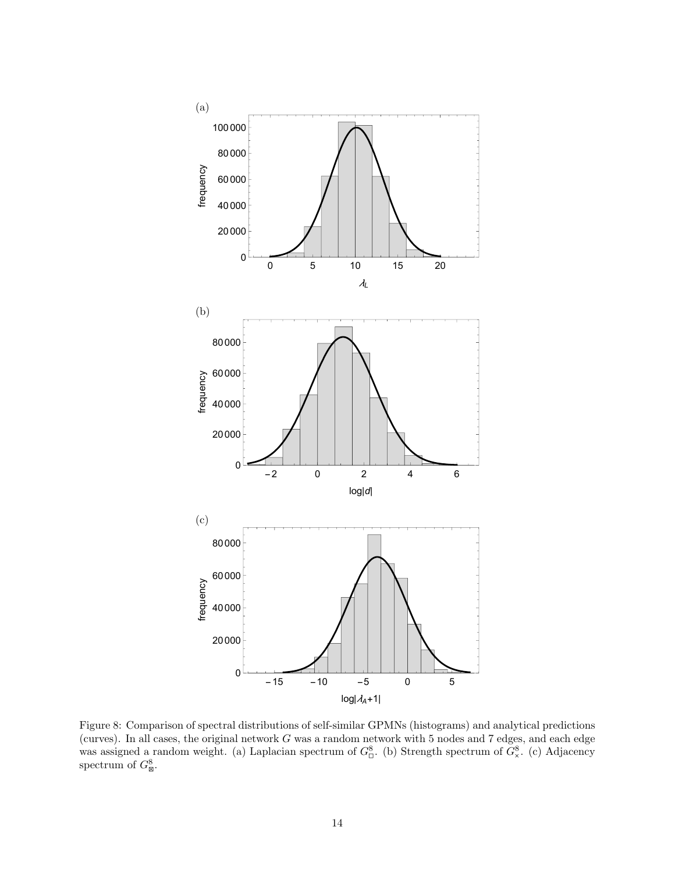

<span id="page-13-0"></span>Figure 8: Comparison of spectral distributions of self-similar GPMNs (histograms) and analytical predictions (curves). In all cases, the original network  $G$  was a random network with 5 nodes and 7 edges, and each edge was assigned a random weight. (a) Laplacian spectrum of  $G_{\Box}^{8}$ . (b) Strength spectrum of  $G_{\times}^{8}$ . (c) Adjacency spectrum of  $G^8_{\boxtimes}$ .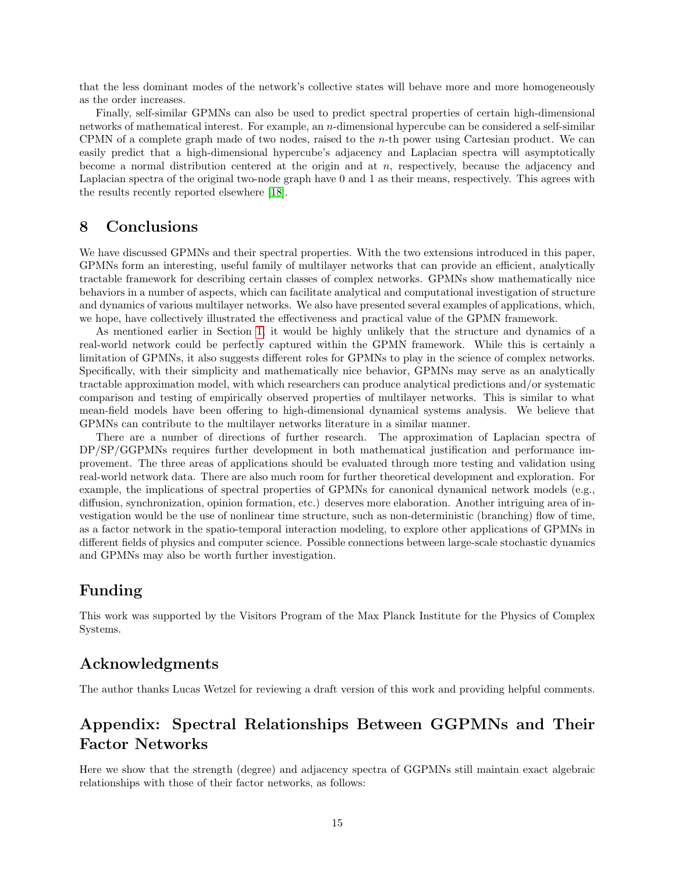that the less dominant modes of the network's collective states will behave more and more homogeneously as the order increases.

Finally, self-similar GPMNs can also be used to predict spectral properties of certain high-dimensional networks of mathematical interest. For example, an n-dimensional hypercube can be considered a self-similar CPMN of a complete graph made of two nodes, raised to the  $n$ -th power using Cartesian product. We can easily predict that a high-dimensional hypercube's adjacency and Laplacian spectra will asymptotically become a normal distribution centered at the origin and at  $n$ , respectively, because the adjacency and Laplacian spectra of the original two-node graph have 0 and 1 as their means, respectively. This agrees with the results recently reported elsewhere [\[18\]](#page-16-11).

#### <span id="page-14-0"></span>8 Conclusions

We have discussed GPMNs and their spectral properties. With the two extensions introduced in this paper, GPMNs form an interesting, useful family of multilayer networks that can provide an efficient, analytically tractable framework for describing certain classes of complex networks. GPMNs show mathematically nice behaviors in a number of aspects, which can facilitate analytical and computational investigation of structure and dynamics of various multilayer networks. We also have presented several examples of applications, which, we hope, have collectively illustrated the effectiveness and practical value of the GPMN framework.

As mentioned earlier in Section [1,](#page-0-0) it would be highly unlikely that the structure and dynamics of a real-world network could be perfectly captured within the GPMN framework. While this is certainly a limitation of GPMNs, it also suggests different roles for GPMNs to play in the science of complex networks. Specifically, with their simplicity and mathematically nice behavior, GPMNs may serve as an analytically tractable approximation model, with which researchers can produce analytical predictions and/or systematic comparison and testing of empirically observed properties of multilayer networks. This is similar to what mean-field models have been offering to high-dimensional dynamical systems analysis. We believe that GPMNs can contribute to the multilayer networks literature in a similar manner.

There are a number of directions of further research. The approximation of Laplacian spectra of DP/SP/GGPMNs requires further development in both mathematical justification and performance improvement. The three areas of applications should be evaluated through more testing and validation using real-world network data. There are also much room for further theoretical development and exploration. For example, the implications of spectral properties of GPMNs for canonical dynamical network models (e.g., diffusion, synchronization, opinion formation, etc.) deserves more elaboration. Another intriguing area of investigation would be the use of nonlinear time structure, such as non-deterministic (branching) flow of time, as a factor network in the spatio-temporal interaction modeling, to explore other applications of GPMNs in different fields of physics and computer science. Possible connections between large-scale stochastic dynamics and GPMNs may also be worth further investigation.

# Funding

This work was supported by the Visitors Program of the Max Planck Institute for the Physics of Complex Systems.

### Acknowledgments

The author thanks Lucas Wetzel for reviewing a draft version of this work and providing helpful comments.

# Appendix: Spectral Relationships Between GGPMNs and Their Factor Networks

Here we show that the strength (degree) and adjacency spectra of GGPMNs still maintain exact algebraic relationships with those of their factor networks, as follows: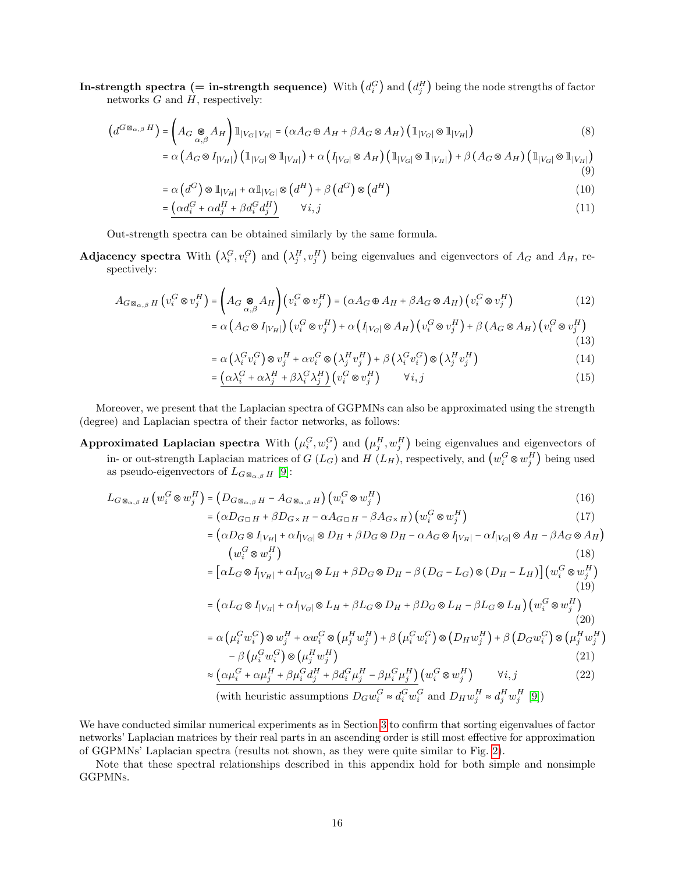In-strength spectra (= in-strength sequence) With  $\left(d_i^G\right)$  and  $\left(d_j^H\right)$  being the node strengths of factor networks  $G$  and  $H$ , respectively:

$$
(d^{G \boxtimes_{\alpha,\beta} H}) = (A_G \underset{\alpha,\beta}{\otimes} A_H) \mathbb{1}_{|V_G||V_H|} = (\alpha A_G \oplus A_H + \beta A_G \otimes A_H) (\mathbb{1}_{|V_G|} \otimes \mathbb{1}_{|V_H|})
$$
(8)

$$
= \alpha \left( A_G \otimes I_{|V_H|} \right) \left( \mathbbm{1}_{|V_G|} \otimes \mathbbm{1}_{|V_H|} \right) + \alpha \left( I_{|V_G|} \otimes A_H \right) \left( \mathbbm{1}_{|V_G|} \otimes \mathbbm{1}_{|V_H|} \right) + \beta \left( A_G \otimes A_H \right) \left( \mathbbm{1}_{|V_G|} \otimes \mathbbm{1}_{|V_H|} \right) \tag{9}
$$

$$
= \alpha \left( d^G \right) \otimes \mathbb{1}_{|V_H|} + \alpha \mathbb{1}_{|V_G|} \otimes \left( d^H \right) + \beta \left( d^G \right) \otimes \left( d^H \right) \tag{10}
$$

$$
= \left(\alpha d_i^G + \alpha d_j^H + \beta d_i^G d_j^H\right) \qquad \forall i, j \tag{11}
$$

Out-strength spectra can be obtained similarly by the same formula.

Adjacency spectra With  $(\lambda_i^G, v_i^G)$  and  $(\lambda_j^H, v_j^H)$  being eigenvalues and eigenvectors of  $A_G$  and  $A_H$ , respectively:

$$
A_{G\boxtimes_{\alpha,\beta}H}\left(v_i^G\otimes v_j^H\right) = \left(A_G\underset{\alpha,\beta}{\otimes}A_H\right)\left(v_i^G\otimes v_j^H\right) = \left(\alpha A_G\oplus A_H + \beta A_G\otimes A_H\right)\left(v_i^G\otimes v_j^H\right) \tag{12}
$$

$$
= \alpha \left( A_G \otimes I_{|V_H|} \right) \left( v_i^G \otimes v_j^H \right) + \alpha \left( I_{|V_G|} \otimes A_H \right) \left( v_i^G \otimes v_j^H \right) + \beta \left( A_G \otimes A_H \right) \left( v_i^G \otimes v_j^H \right) \tag{13}
$$

$$
= \alpha \left( \lambda_i^G v_i^G \right) \otimes v_j^H + \alpha v_i^G \otimes \left( \lambda_j^H v_j^H \right) + \beta \left( \lambda_i^G v_i^G \right) \otimes \left( \lambda_j^H v_j^H \right) \tag{14}
$$

$$
= \left(\alpha \lambda_i^G + \alpha \lambda_j^H + \beta \lambda_i^G \lambda_j^H\right) \left(v_i^G \otimes v_j^H\right) \qquad \forall i, j
$$
\n
$$
(15)
$$

Moreover, we present that the Laplacian spectra of GGPMNs can also be approximated using the strength (degree) and Laplacian spectra of their factor networks, as follows:

Approximated Laplacian spectra With  $(\mu_i^G, w_i^G)$  and  $(\mu_j^H, w_j^H)$  being eigenvalues and eigenvectors of in- or out-strength Laplacian matrices of  $G(L_G)$  and  $H(L_H)$ , respectively, and  $(w_i^G \otimes w_j^H)$  being used as pseudo-eigenvectors of  $L_{G \boxtimes_{\alpha,\beta} H}$  [\[9\]](#page-16-4):

$$
L_{G\boxtimes_{\alpha,\beta}H}\left(w_i^G\otimes w_j^H\right) = \left(D_{G\boxtimes_{\alpha,\beta}H} - A_{G\boxtimes_{\alpha,\beta}H}\right)\left(w_i^G\otimes w_j^H\right) \tag{16}
$$

$$
= (\alpha D_{G \Box H} + \beta D_{G \times H} - \alpha A_{G \Box H} - \beta A_{G \times H}) (w_i^G \otimes w_j^H)
$$
\n(17)

$$
= (\alpha D_G \otimes I_{|V_H|} + \alpha I_{|V_G|} \otimes D_H + \beta D_G \otimes D_H - \alpha A_G \otimes I_{|V_H|} - \alpha I_{|V_G|} \otimes A_H - \beta A_G \otimes A_H)
$$
\n
$$
= [\alpha L_G \otimes I_{|V_H|} + \alpha I_{|V_G|} \otimes L_H + \beta D_G \otimes D_H - \beta (D_G - L_G) \otimes (D_H - L_H)] (w_i^G \otimes w_j^H)
$$
\n
$$
= (\alpha L_G \otimes I_{|V_H|} + \alpha I_{|V_G|} \otimes L_H + \beta L_G \otimes D_H + \beta D_G \otimes L_H - \beta L_G \otimes L_H) (w_i^G \otimes w_j^H)
$$
\n
$$
= \alpha (\mu_i^G w_i^G) \otimes w_j^H + \alpha w_i^G \otimes (\mu_j^H w_j^H) + \beta (\mu_i^G w_i^G) \otimes (D_H w_j^H) + \beta (D_G w_i^G) \otimes (\mu_j^H w_j^H)
$$
\n
$$
- \beta (\mu_i^G w_i^G) \otimes (\mu_j^H w_j^H)
$$
\n
$$
\approx \frac{(\alpha \mu_i^G + \alpha \mu_j^H + \beta \mu_i^G d_j^H + \beta d_i^G \mu_j^H - \beta \mu_i^G \mu_j^H)}{(21)}
$$
\n
$$
\approx \frac{(\alpha \mu_i^G + \alpha \mu_j^H + \beta \mu_i^G d_j^H + \beta d_i^G \mu_j^H - \beta \mu_i^G \mu_j^H)}{(w_i^G \otimes w_j^G \otimes w_j^G)} \qquad \forall i, j \qquad (22)
$$
\n
$$
\frac{(\alpha H_H + \alpha H_H + \beta H_H) (Q_H - Q_H) (Q_H - Q_H) (Q_H - Q_H) (Q_H - Q_H) (Q_H - Q_H))}{(W_H - Q_H) (Q_H - Q_H) (Q_H - Q_H) (Q_H - Q_H) (Q_H - Q_H) (Q_H - Q_H) (Q_H - Q_H) (Q_H - Q_H) (Q_H - Q_H) (Q_H - Q_H) (Q_H - Q_H) (Q_H - Q_H) (Q_H - Q_H) (Q_H - Q_H) (Q_H - Q_H) (Q_H - Q_H) (Q_H - Q_H) (Q_H - Q_H) (Q_H - Q_H) (Q_H - Q_H) (Q_H - Q_H) (
$$

We have conducted similar numerical experiments as in Section [3](#page-4-0) to confirm that sorting eigenvalues of factor networks' Laplacian matrices by their real parts in an ascending order is still most effective for approximation of GGPMNs' Laplacian spectra (results not shown, as they were quite similar to Fig. [2\)](#page-5-1).

Note that these spectral relationships described in this appendix hold for both simple and nonsimple GGPMNs.